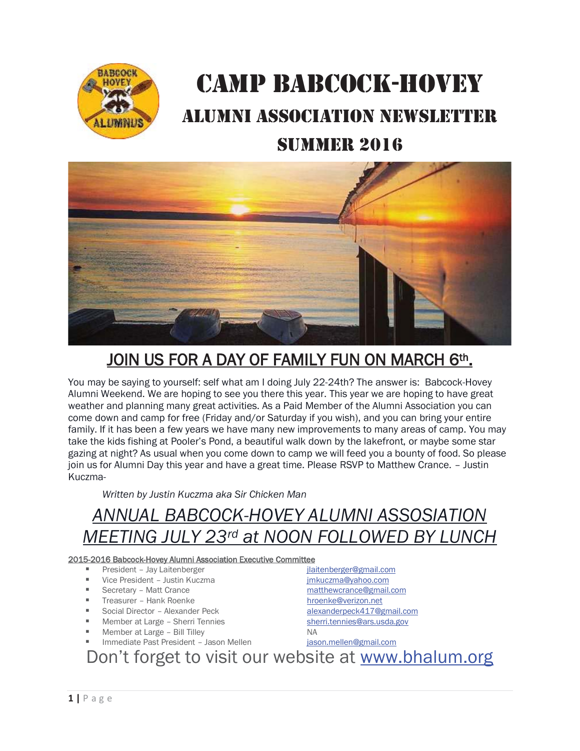

## CAMP BABCOCK-HOVEY ALUMNI ASSOCIATION NEWSLETTER

#### SUMMER 2016



### JOIN US FOR A DAY OF FAMILY FUN ON MARCH 6th.

You may be saying to yourself: self what am I doing July 22-24th? The answer is: Babcock-Hovey Alumni Weekend. We are hoping to see you there this year. This year we are hoping to have great weather and planning many great activities. As a Paid Member of the Alumni Association you can come down and camp for free (Friday and/or Saturday if you wish), and you can bring your entire family. If it has been a few years we have many new improvements to many areas of camp. You may take the kids fishing at Pooler's Pond, a beautiful walk down by the lakefront, or maybe some star gazing at night? As usual when you come down to camp we will feed you a bounty of food. So please join us for Alumni Day this year and have a great time. Please RSVP to Matthew Crance. – Justin Kuczma-

*Written by Justin Kuczma aka Sir Chicken Man* 

### *ANNUAL BABCOCK-HOVEY ALUMNI ASSOSIATION MEETING JULY 23rd at NOON FOLLOWED BY LUNCH*

#### 2015-2016 Babcock-Hovey Alumni Association Executive Committee

- President Jay Laitenberger in the interval and interval interval interval interval in the president of the i
- Vice President Justin Kuczma de antistic and the structure imkuczma@yahoo.com
- 
- Treasurer Hank Roenke hroenke hroenke@verizon.net
- Social Director Alexander Peck alexanderpeck417@gmail.com
- Member at Large Sherri Tennies state the state of the sherri.tennies@ars.usda.gov
- Member at Large Bill Tilley NA
- Immediate Past President Jason Mellen in a jason.mellen@gmail.com
- Secretary Matt Crance matthewcrance@gmail.com

Don't forget to visit our website at www.bhalum.org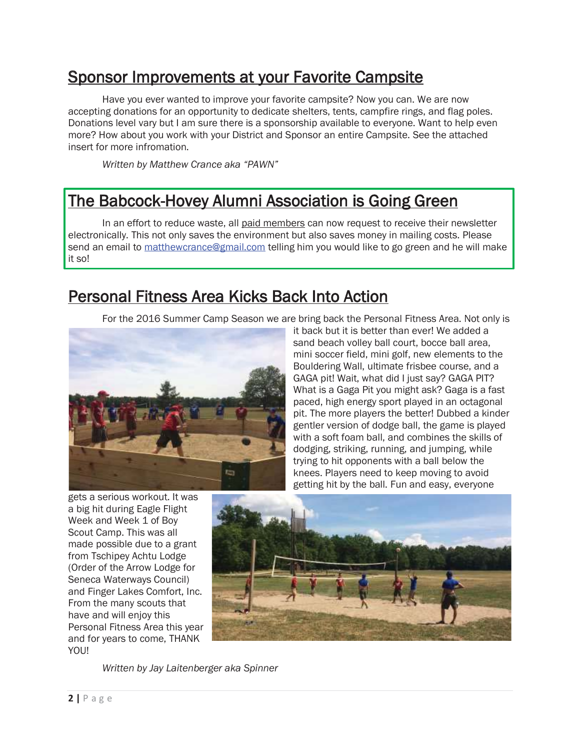#### Sponsor Improvements at your Favorite Campsite

 Have you ever wanted to improve your favorite campsite? Now you can. We are now accepting donations for an opportunity to dedicate shelters, tents, campfire rings, and flag poles. Donations level vary but I am sure there is a sponsorship available to everyone. Want to help even more? How about you work with your District and Sponsor an entire Campsite. See the attached insert for more infromation.

*Written by Matthew Crance aka "PAWN"* 

#### The Babcock-Hovey Alumni Association is Going Green

In an effort to reduce waste, all paid members can now request to receive their newsletter electronically. This not only saves the environment but also saves money in mailing costs. Please send an email to matthewcrance@gmail.com telling him you would like to go green and he will make it so!

#### Personal Fitness Area Kicks Back Into Action

For the 2016 Summer Camp Season we are bring back the Personal Fitness Area. Not only is



it back but it is better than ever! We added a sand beach volley ball court, bocce ball area, mini soccer field, mini golf, new elements to the Bouldering Wall, ultimate frisbee course, and a GAGA pit! Wait, what did I just say? GAGA PIT? What is a Gaga Pit you might ask? Gaga is a fast paced, high energy sport played in an octagonal pit. The more players the better! Dubbed a kinder gentler version of dodge ball, the game is played with a soft foam ball, and combines the skills of dodging, striking, running, and jumping, while trying to hit opponents with a ball below the knees. Players need to keep moving to avoid getting hit by the ball. Fun and easy, everyone

gets a serious workout. It was a big hit during Eagle Flight Week and Week 1 of Boy Scout Camp. This was all made possible due to a grant from Tschipey Achtu Lodge (Order of the Arrow Lodge for Seneca Waterways Council) and Finger Lakes Comfort, Inc. From the many scouts that have and will enjoy this Personal Fitness Area this year and for years to come, THANK YOU!



*Written by Jay Laitenberger aka Spinner*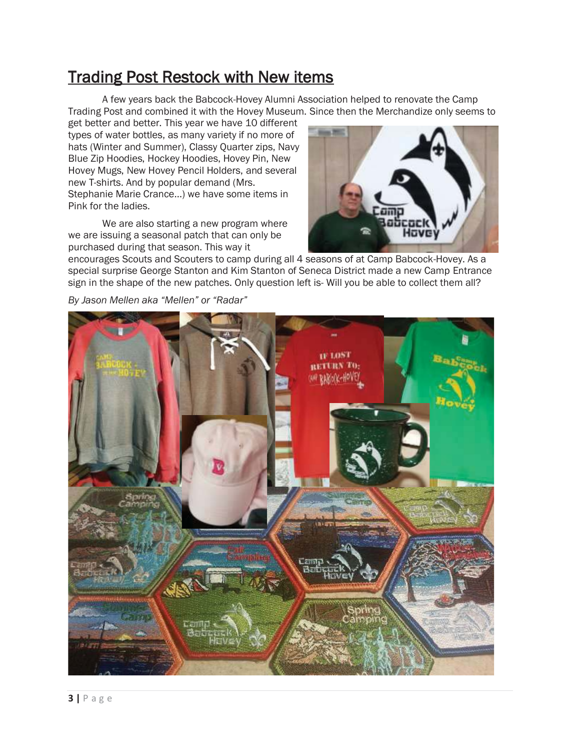#### Trading Post Restock with New items

 A few years back the Babcock-Hovey Alumni Association helped to renovate the Camp Trading Post and combined it with the Hovey Museum. Since then the Merchandize only seems to

get better and better. This year we have 10 different types of water bottles, as many variety if no more of hats (Winter and Summer), Classy Quarter zips, Navy Blue Zip Hoodies, Hockey Hoodies, Hovey Pin, New Hovey Mugs, New Hovey Pencil Holders, and several new T-shirts. And by popular demand (Mrs. Stephanie Marie Crance…) we have some items in Pink for the ladies.

 We are also starting a new program where we are issuing a seasonal patch that can only be purchased during that season. This way it



encourages Scouts and Scouters to camp during all 4 seasons of at Camp Babcock-Hovey. As a special surprise George Stanton and Kim Stanton of Seneca District made a new Camp Entrance sign in the shape of the new patches. Only question left is- Will you be able to collect them all?

*By Jason Mellen aka "Mellen" or "Radar"* 

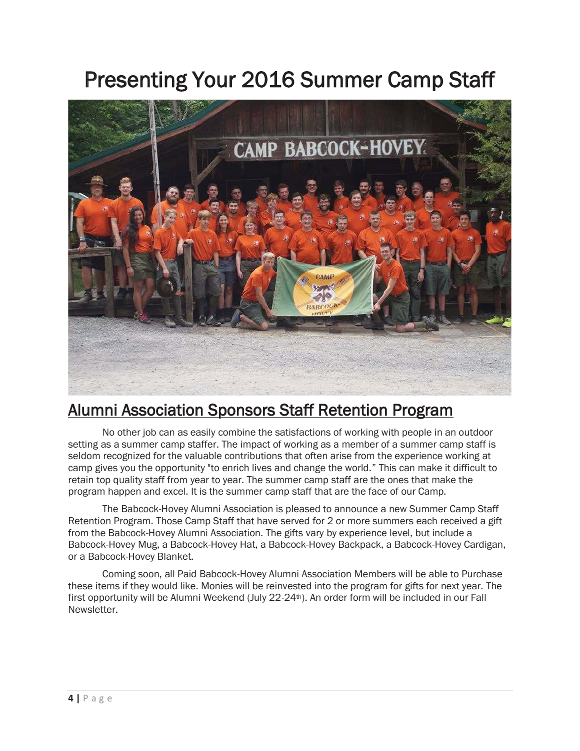### Presenting Your 2016 Summer Camp Staff



#### Alumni Association Sponsors Staff Retention Program

No other job can as easily combine the satisfactions of working with people in an outdoor setting as a summer camp staffer. The impact of working as a member of a summer camp staff is seldom recognized for the valuable contributions that often arise from the experience working at camp gives you the opportunity "to enrich lives and change the world." This can make it difficult to retain top quality staff from year to year. The summer camp staff are the ones that make the program happen and excel. It is the summer camp staff that are the face of our Camp.

 The Babcock-Hovey Alumni Association is pleased to announce a new Summer Camp Staff Retention Program. Those Camp Staff that have served for 2 or more summers each received a gift from the Babcock-Hovey Alumni Association. The gifts vary by experience level, but include a Babcock-Hovey Mug, a Babcock-Hovey Hat, a Babcock-Hovey Backpack, a Babcock-Hovey Cardigan, or a Babcock-Hovey Blanket.

 Coming soon, all Paid Babcock-Hovey Alumni Association Members will be able to Purchase these items if they would like. Monies will be reinvested into the program for gifts for next year. The first opportunity will be Alumni Weekend (July 22-24<sup>th</sup>). An order form will be included in our Fall Newsletter.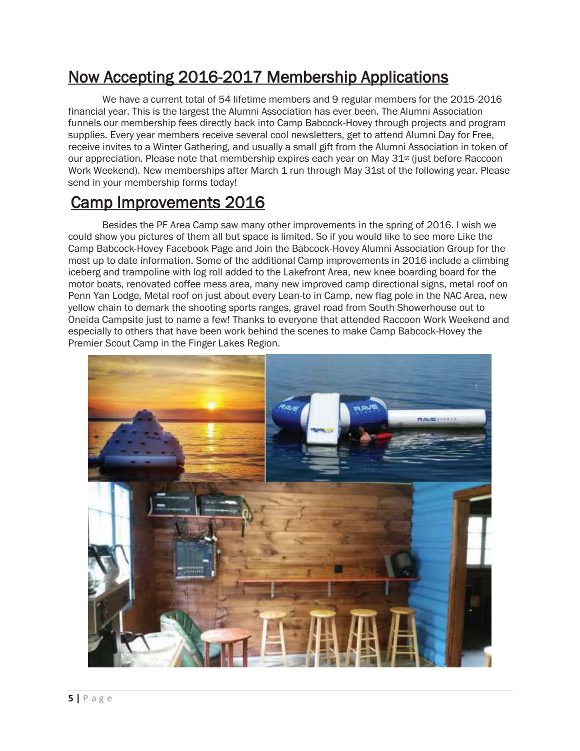#### Now Accepting 2016-2017 Membership Applications

We have a current total of 54 lifetime members and 9 regular members for the 2015-2016 financial year. This is the largest the Alumni Association has ever been. The Alumni Association funnels our membership fees directly back into Camp Babcock-Hovey through projects and program supplies. Every year members receive several cool newsletters, get to attend Alumni Day for Free, receive invites to a Winter Gathering, and usually a small gift from the Alumni Association in token of our appreciation. Please note that membership expires each year on May 31<sup>st</sup> (just before Raccoon Work Weekend). New memberships after March 1 run through May 31st of the following year. Please send in your membership forms today!

#### Camp Improvements 2016

Besides the PF Area Camp saw many other improvements in the spring of 2016. I wish we could show you pictures of them all but space is limited. So if you would like to see more Like the Camp Babcock-Hovey Facebook Page and Join the Babcock-Hovey Alumni Association Group for the most up to date information. Some of the additional Camp improvements in 2016 include a climbing iceberg and trampoline with log roll added to the Lakefront Area, new knee boarding board for the motor boats, renovated coffee mess area, many new improved camp directional signs, metal roof on Penn Yan Lodge, Metal roof on just about every Lean-to in Camp, new flag pole in the NAC Area, new yellow chain to demark the shooting sports ranges, gravel road from South Showerhouse out to Oneida Campsite just to name a few! Thanks to everyone that attended Raccoon Work Weekend and especially to others that have been work behind the scenes to make Camp Babcock-Hovey the Premier Scout Camp in the Finger Lakes Region.

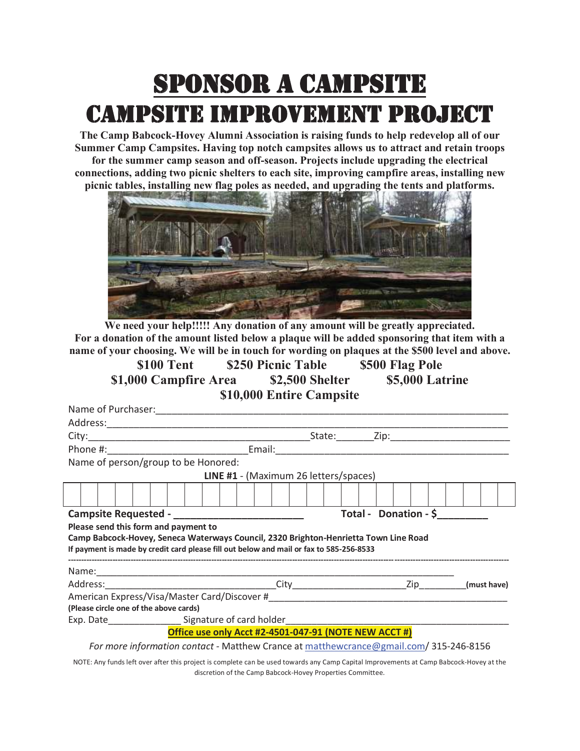## SPONSOR A CAMPSITE CAMPSITE IMPROVEMENT PROJECT

**The Camp Babcock-Hovey Alumni Association is raising funds to help redevelop all of our Summer Camp Campsites. Having top notch campsites allows us to attract and retain troops for the summer camp season and off-season. Projects include upgrading the electrical connections, adding two picnic shelters to each site, improving campfire areas, installing new picnic tables, installing new flag poles as needed, and upgrading the tents and platforms.** 



**We need your help!!!!! Any donation of any amount will be greatly appreciated. For a donation of the amount listed below a plaque will be added sponsoring that item with a name of your choosing. We will be in touch for wording on plaques at the \$500 level and above.** 

**\$100 Tent \$250 Picnic Table \$500 Flag Pole \$1,000 Campfire Area \$2,500 Shelter \$5,000 Latrine \$10,000 Entire Campsite** 

|                                                                           |  | Name of person/group to be Honored:    |  |  |  |  |  |  |  |  |  |                                                                                         |  |  |  |  |  |  |  |  |
|---------------------------------------------------------------------------|--|----------------------------------------|--|--|--|--|--|--|--|--|--|-----------------------------------------------------------------------------------------|--|--|--|--|--|--|--|--|
|                                                                           |  |                                        |  |  |  |  |  |  |  |  |  | LINE #1 - (Maximum 26 letters/spaces)                                                   |  |  |  |  |  |  |  |  |
|                                                                           |  |                                        |  |  |  |  |  |  |  |  |  |                                                                                         |  |  |  |  |  |  |  |  |
| Total - Donation - \$<br>Campsite Requested - ___________________________ |  |                                        |  |  |  |  |  |  |  |  |  |                                                                                         |  |  |  |  |  |  |  |  |
| Please send this form and payment to                                      |  |                                        |  |  |  |  |  |  |  |  |  |                                                                                         |  |  |  |  |  |  |  |  |
|                                                                           |  |                                        |  |  |  |  |  |  |  |  |  |                                                                                         |  |  |  |  |  |  |  |  |
|                                                                           |  |                                        |  |  |  |  |  |  |  |  |  | Camp Babcock-Hovey, Seneca Waterways Council, 2320 Brighton-Henrietta Town Line Road    |  |  |  |  |  |  |  |  |
|                                                                           |  |                                        |  |  |  |  |  |  |  |  |  | If payment is made by credit card please fill out below and mail or fax to 585-256-8533 |  |  |  |  |  |  |  |  |
|                                                                           |  |                                        |  |  |  |  |  |  |  |  |  |                                                                                         |  |  |  |  |  |  |  |  |
|                                                                           |  |                                        |  |  |  |  |  |  |  |  |  |                                                                                         |  |  |  |  |  |  |  |  |
|                                                                           |  |                                        |  |  |  |  |  |  |  |  |  |                                                                                         |  |  |  |  |  |  |  |  |
|                                                                           |  | (Please circle one of the above cards) |  |  |  |  |  |  |  |  |  |                                                                                         |  |  |  |  |  |  |  |  |
|                                                                           |  |                                        |  |  |  |  |  |  |  |  |  | Exp. Date________________________Signature of card holder________________________       |  |  |  |  |  |  |  |  |
|                                                                           |  |                                        |  |  |  |  |  |  |  |  |  | Office use only Acct #2-4501-047-91 (NOTE NEW ACCT #)                                   |  |  |  |  |  |  |  |  |

NOTE: Any funds left over after this project is complete can be used towards any Camp Capital Improvements at Camp Babcock-Hovey at the discretion of the Camp Babcock-Hovey Properties Committee.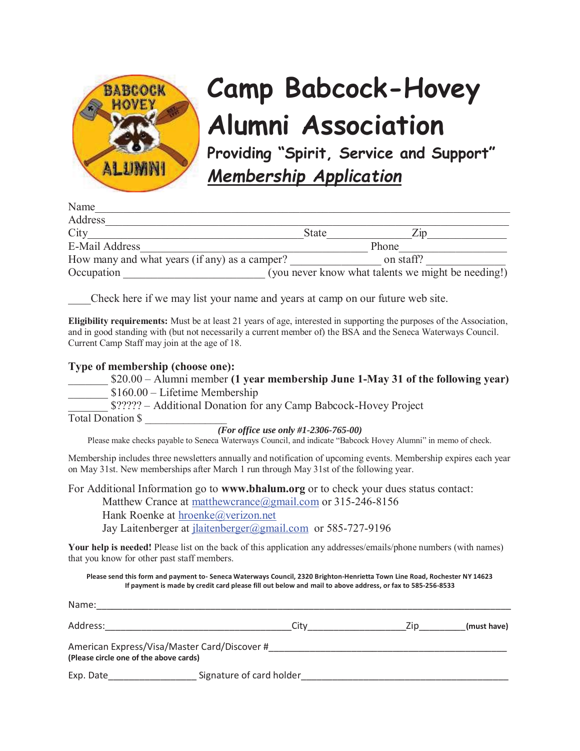

# **Camp Babcock-Hovey Alumni Association**

**Providing "Spirit, Service and Support"**  *Membership Application*

| Name                                          |              |                                                    |
|-----------------------------------------------|--------------|----------------------------------------------------|
| Address                                       |              |                                                    |
| City                                          | <b>State</b> | $\angle$ in                                        |
| E-Mail Address                                |              | Phone                                              |
| How many and what years (if any) as a camper? |              | on staff?                                          |
| Occupation                                    |              | (you never know what talents we might be needing!) |

\_\_\_\_Check here if we may list your name and years at camp on our future web site.

**Eligibility requirements:** Must be at least 21 years of age, interested in supporting the purposes of the Association, and in good standing with (but not necessarily a current member of) the BSA and the Seneca Waterways Council. Current Camp Staff may join at the age of 18.

#### **Type of membership (choose one):**

| $$20.00 -$ Alumni member (1 year membership June 1-May 31 of the following year) |
|----------------------------------------------------------------------------------|
| $$160.00$ – Lifetime Membership                                                  |

\_\_\_\_\_\_\_ \$????? – Additional Donation for any Camp Babcock-Hovey Project

Total Donation \$ \_\_\_\_\_\_\_\_\_\_\_\_\_\_\_

*(For office use only #1-2306-765-00)*

Please make checks payable to Seneca Waterways Council, and indicate "Babcock Hovey Alumni" in memo of check.

Membership includes three newsletters annually and notification of upcoming events. Membership expires each year on May 31st. New memberships after March 1 run through May 31st of the following year.

For Additional Information go to **www.bhalum.org** or to check your dues status contact:

Matthew Crance at matthewcrance@gmail.com or 315-246-8156 Hank Roenke at hroenke@verizon.net

Jay Laitenberger at jlaitenberger@gmail.com or 585-727-9196

Your help is needed! Please list on the back of this application any addresses/emails/phone numbers (with names) that you know for other past staff members.

**Please send this form and payment to- Seneca Waterways Council, 2320 Brighton-Henrietta Town Line Road, Rochester NY 14623 If payment is made by credit card please fill out below and mail to above address, or fax to 585-256-8533** 

| Name:                                                                                  |                          |      |             |
|----------------------------------------------------------------------------------------|--------------------------|------|-------------|
| Address:                                                                               | City                     | Zip. | (must have) |
| American Express/Visa/Master Card/Discover #<br>(Please circle one of the above cards) |                          |      |             |
| Exp. Date                                                                              | Signature of card holder |      |             |